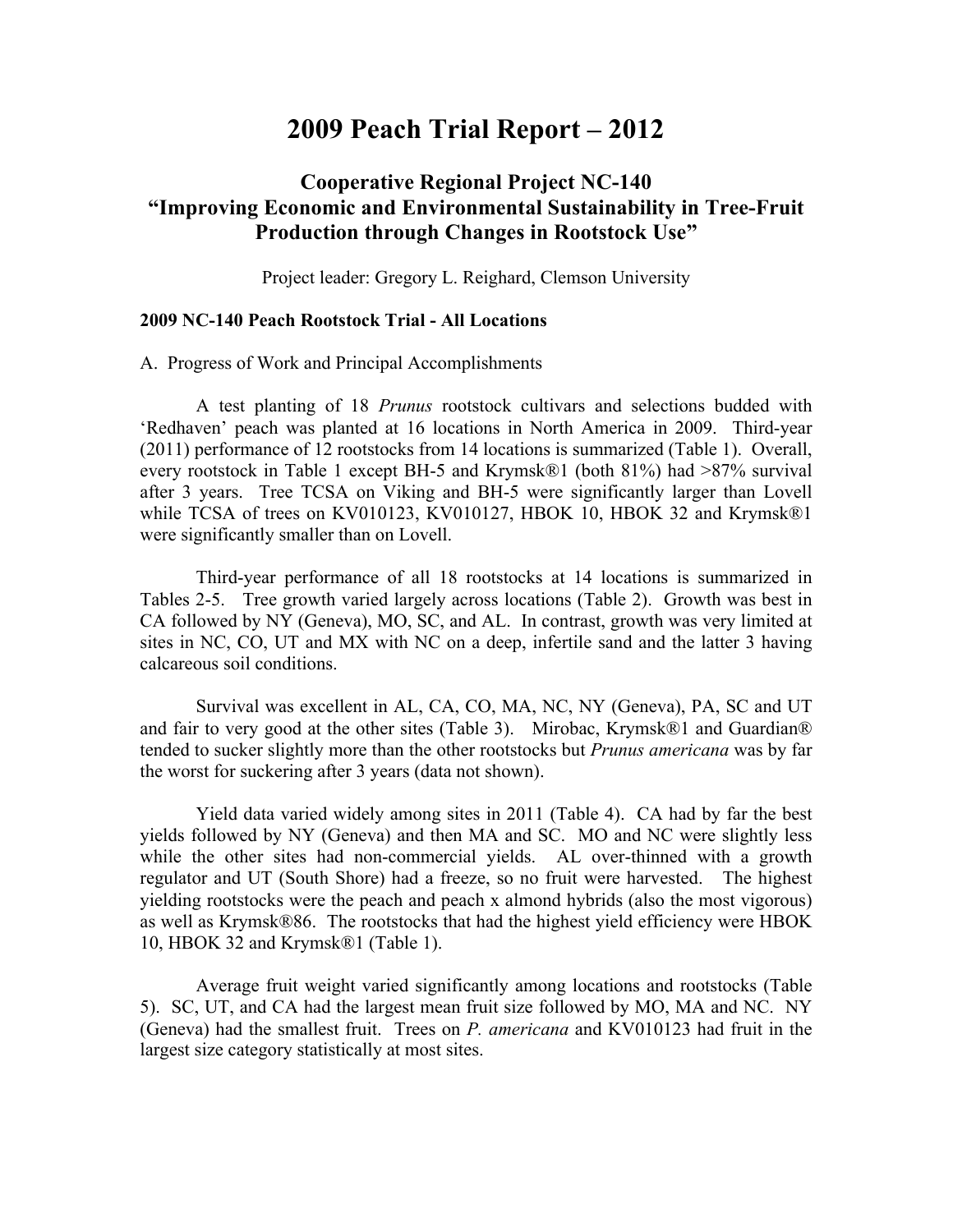## **2009 Peach Trial Report – 2012**

## **Cooperative Regional Project NC-140 "Improving Economic and Environmental Sustainability in Tree-Fruit Production through Changes in Rootstock Use"**

Project leader: Gregory L. Reighard, Clemson University

## **2009 NC-140 Peach Rootstock Trial - All Locations**

A. Progress of Work and Principal Accomplishments

A test planting of 18 *Prunus* rootstock cultivars and selections budded with 'Redhaven' peach was planted at 16 locations in North America in 2009. Third-year (2011) performance of 12 rootstocks from 14 locations is summarized (Table 1). Overall, every rootstock in Table 1 except BH-5 and Krymsk®1 (both 81%) had >87% survival after 3 years. Tree TCSA on Viking and BH-5 were significantly larger than Lovell while TCSA of trees on KV010123, KV010127, HBOK 10, HBOK 32 and Krymsk®1 were significantly smaller than on Lovell.

Third-year performance of all 18 rootstocks at 14 locations is summarized in Tables 2-5. Tree growth varied largely across locations (Table 2). Growth was best in CA followed by NY (Geneva), MO, SC, and AL. In contrast, growth was very limited at sites in NC, CO, UT and MX with NC on a deep, infertile sand and the latter 3 having calcareous soil conditions.

Survival was excellent in AL, CA, CO, MA, NC, NY (Geneva), PA, SC and UT and fair to very good at the other sites (Table 3). Mirobac, Krymsk®1 and Guardian® tended to sucker slightly more than the other rootstocks but *Prunus americana* was by far the worst for suckering after 3 years (data not shown).

Yield data varied widely among sites in 2011 (Table 4). CA had by far the best yields followed by NY (Geneva) and then MA and SC. MO and NC were slightly less while the other sites had non-commercial yields. AL over-thinned with a growth regulator and UT (South Shore) had a freeze, so no fruit were harvested. The highest yielding rootstocks were the peach and peach x almond hybrids (also the most vigorous) as well as Krymsk®86. The rootstocks that had the highest yield efficiency were HBOK 10, HBOK 32 and Krymsk®1 (Table 1).

Average fruit weight varied significantly among locations and rootstocks (Table 5). SC, UT, and CA had the largest mean fruit size followed by MO, MA and NC. NY (Geneva) had the smallest fruit. Trees on *P. americana* and KV010123 had fruit in the largest size category statistically at most sites.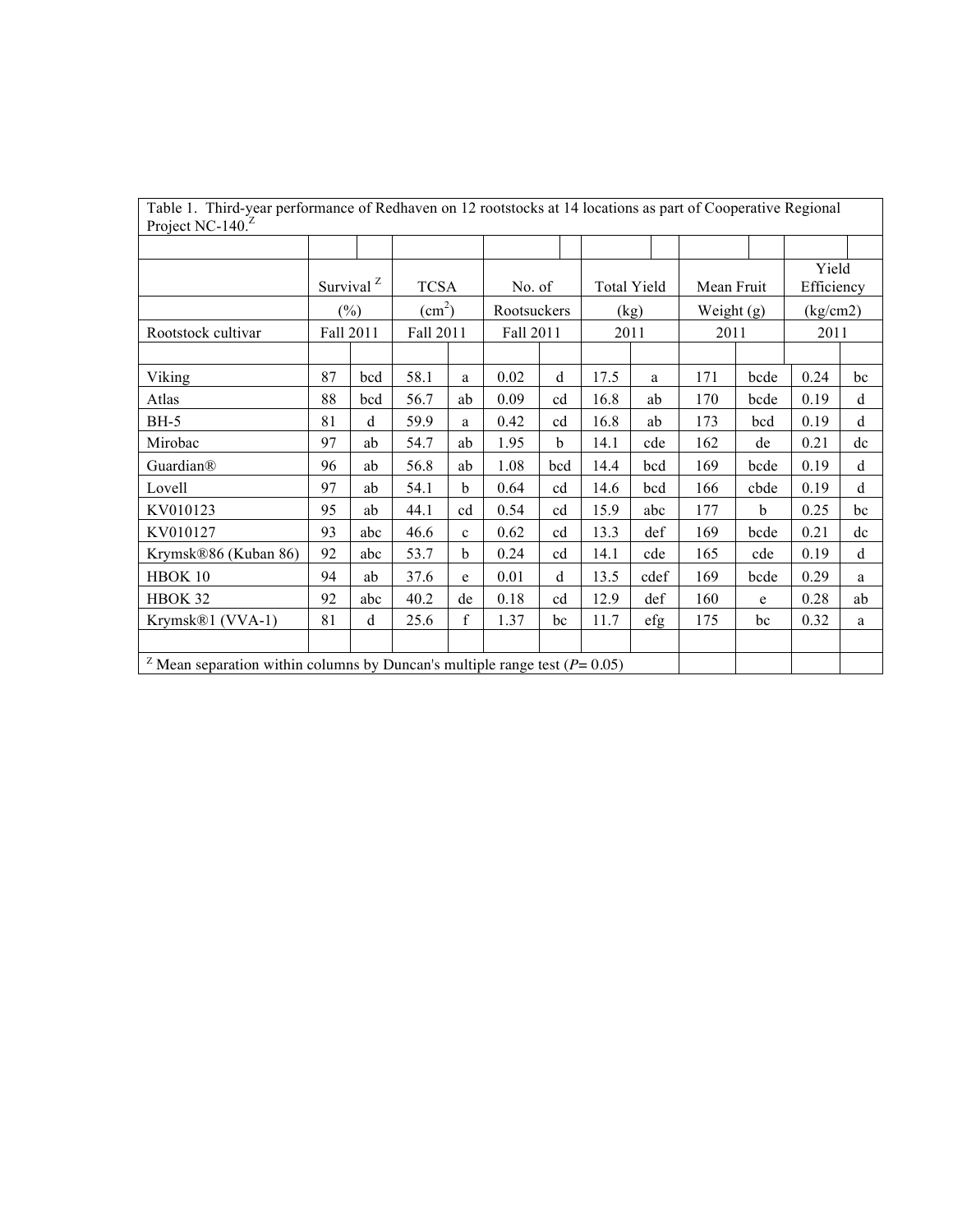| Table 1. Third-year performance of Redhaven on 12 rootstocks at 14 locations as part of Cooperative Regional |           |                       |                        |              |             |             |      |                    |              |      |            |             |
|--------------------------------------------------------------------------------------------------------------|-----------|-----------------------|------------------------|--------------|-------------|-------------|------|--------------------|--------------|------|------------|-------------|
| Project NC-140. $^2$                                                                                         |           |                       |                        |              |             |             |      |                    |              |      |            |             |
|                                                                                                              |           |                       |                        |              |             |             |      |                    |              |      | Yield      |             |
|                                                                                                              |           | Survival <sup>Z</sup> | <b>TCSA</b>            |              | No. of      |             |      | <b>Total Yield</b> | Mean Fruit   |      | Efficiency |             |
|                                                                                                              |           | $(\% )$               | $\text{(cm}^2\text{)}$ |              | Rootsuckers |             |      | (kg)               | Weight $(g)$ |      | (kg/cm2)   |             |
| Rootstock cultivar                                                                                           | Fall 2011 |                       | Fall 2011              |              | Fall 2011   |             |      | 2011               | 2011         |      | 2011       |             |
|                                                                                                              |           |                       |                        |              |             |             |      |                    |              |      |            |             |
| Viking                                                                                                       | 87        | bcd                   | 58.1                   | a            | 0.02        | $\mathbf d$ | 17.5 | a                  | 171          | bcde | 0.24       | bc          |
| Atlas                                                                                                        | 88        | bcd                   | 56.7                   | ab           | 0.09        | cd          | 16.8 | ab                 | 170          | bcde | 0.19       | d           |
| <b>BH-5</b>                                                                                                  | 81        | d                     | 59.9                   | a            | 0.42        | cd          | 16.8 | ab                 | 173          | bcd  | 0.19       | d           |
| Mirobac                                                                                                      | 97        | ab                    | 54.7                   | ab           | 1.95        | $\mathbf b$ | 14.1 | cde                | 162          | de   | 0.21       | dc          |
| Guardian®                                                                                                    | 96        | ab                    | 56.8                   | ab           | 1.08        | bcd         | 14.4 | bcd                | 169          | bcde | 0.19       | $\mathbf d$ |
| Lovell                                                                                                       | 97        | ab                    | 54.1                   | $\mathbf b$  | 0.64        | cd          | 14.6 | bcd                | 166          | cbde | 0.19       | d           |
| KV010123                                                                                                     | 95        | ab                    | 44.1                   | cd           | 0.54        | cd          | 15.9 | abc                | 177          | b    | 0.25       | bc          |
| KV010127                                                                                                     | 93        | abc                   | 46.6                   | $\mathbf{c}$ | 0.62        | cd          | 13.3 | def                | 169          | bcde | 0.21       | dc          |
| Krymsk®86 (Kuban 86)                                                                                         | 92        | abc                   | 53.7                   | $\mathbf b$  | 0.24        | cd          | 14.1 | cde                | 165          | cde  | 0.19       | d           |
| HBOK 10                                                                                                      | 94        | ab                    | 37.6                   | e            | 0.01        | d           | 13.5 | cdef               | 169          | bcde | 0.29       | a           |
| HBOK 32                                                                                                      | 92        | abc                   | 40.2                   | de           | 0.18        | cd          | 12.9 | def                | 160          | e    | 0.28       | ab          |
| Krymsk®1 (VVA-1)                                                                                             | 81        | d                     | 25.6                   | $\mathbf f$  | 1.37        | bc          | 11.7 | efg                | 175          | bc   | 0.32       | a           |
|                                                                                                              |           |                       |                        |              |             |             |      |                    |              |      |            |             |
| <sup>Z</sup> Mean separation within columns by Duncan's multiple range test ( $P = 0.05$ )                   |           |                       |                        |              |             |             |      |                    |              |      |            |             |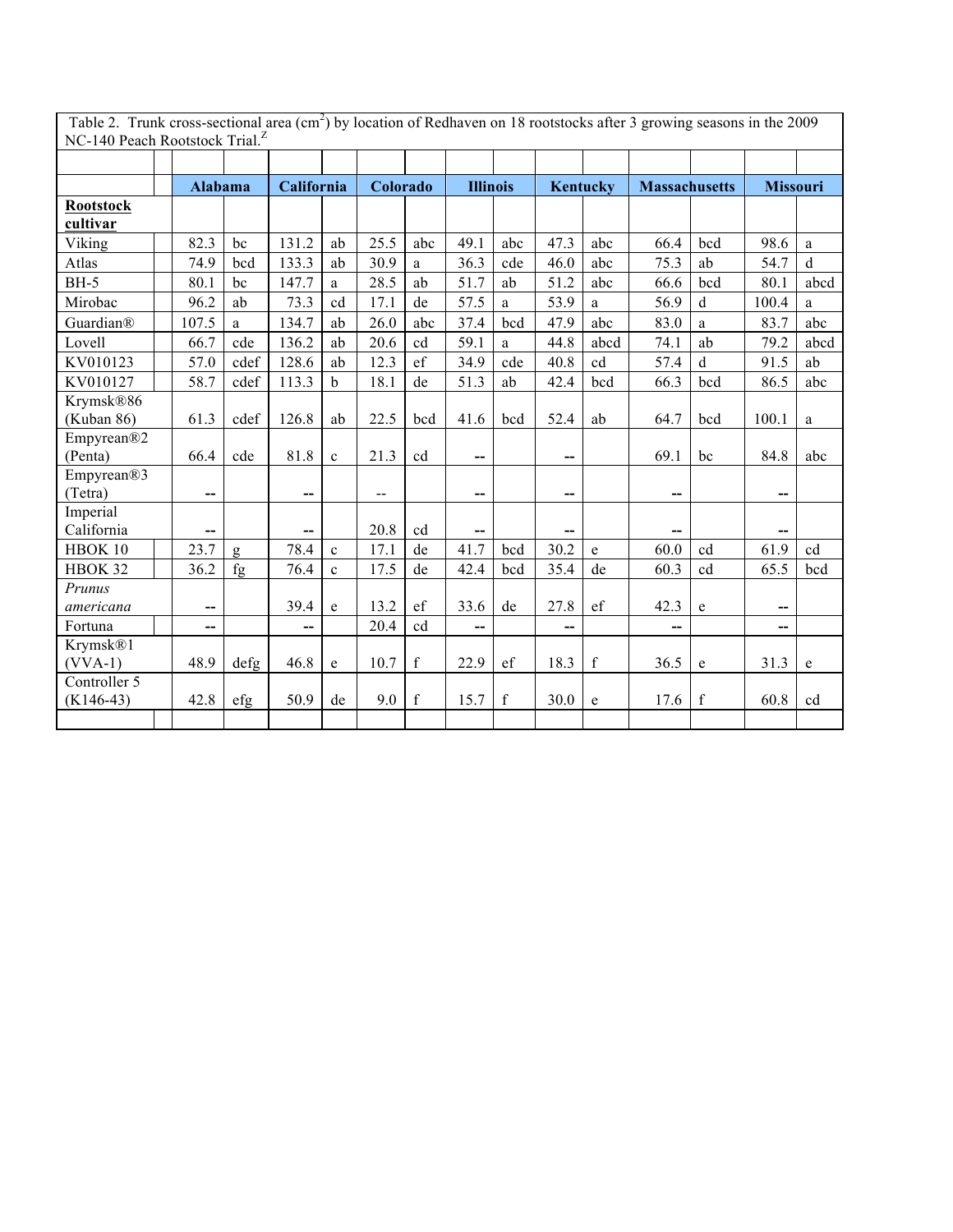| Table 2. Trunk cross-sectional area (cm <sup>2</sup> ) by location of Redhaven on 18 rootstocks after 3 growing seasons in the 2009 |                          |      |            |              |                          |             |                 |             |      |                 |                          |             |                 |              |
|-------------------------------------------------------------------------------------------------------------------------------------|--------------------------|------|------------|--------------|--------------------------|-------------|-----------------|-------------|------|-----------------|--------------------------|-------------|-----------------|--------------|
| NC-140 Peach Rootstock Trial. <sup>2</sup>                                                                                          |                          |      |            |              |                          |             |                 |             |      |                 |                          |             |                 |              |
|                                                                                                                                     |                          |      |            |              |                          |             |                 |             |      |                 |                          |             |                 |              |
|                                                                                                                                     | Alabama                  |      | California |              | Colorado                 |             | <b>Illinois</b> |             |      | <b>Kentucky</b> | <b>Massachusetts</b>     |             | <b>Missouri</b> |              |
| <b>Rootstock</b>                                                                                                                    |                          |      |            |              |                          |             |                 |             |      |                 |                          |             |                 |              |
| cultivar                                                                                                                            |                          |      |            |              |                          |             |                 |             |      |                 |                          |             |                 |              |
| Viking                                                                                                                              | 82.3                     | bc   | 131.2      | ab           | 25.5                     | abc         | 49.1            | abc         | 47.3 | abc             | 66.4                     | bcd         | 98.6            | a            |
| Atlas                                                                                                                               | 74.9                     | bcd  | 133.3      | ab           | 30.9                     | a           | 36.3            | cde         | 46.0 | abc             | 75.3                     | ab          | 54.7            | $\mathbf{d}$ |
| <b>BH-5</b>                                                                                                                         | 80.1                     | bc   | 147.7      | a            | 28.5                     | ab          | 51.7            | ab          | 51.2 | abc             | 66.6                     | bcd         | 80.1            | abcd         |
| Mirobac                                                                                                                             | 96.2                     | ab   | 73.3       | cd           | 17.1                     | de          | 57.5            | a           | 53.9 | a               | 56.9                     | $\mathbf d$ | 100.4           | a            |
| Guardian®                                                                                                                           | 107.5                    | a    | 134.7      | ab           | 26.0                     | abc         | 37.4            | bcd         | 47.9 | abc             | 83.0                     | a           | 83.7            | abc          |
| Lovell                                                                                                                              | 66.7                     | cde  | 136.2      | ab           | 20.6                     | cd          | 59.1            | a           | 44.8 | abcd            | 74.1                     | ab          | 79.2            | abcd         |
| KV010123                                                                                                                            | 57.0                     | cdef | 128.6      | ab           | 12.3                     | ef          | 34.9            | cde         | 40.8 | cd              | 57.4                     | $\mathbf d$ | 91.5            | ab           |
| KV010127                                                                                                                            | 58.7                     | cdef | 113.3      | $\mathbf b$  | 18.1                     | de          | 51.3            | ab          | 42.4 | bcd             | 66.3                     | bcd         | 86.5            | abc          |
| Krymsk®86                                                                                                                           |                          |      |            |              |                          |             |                 |             |      |                 |                          |             |                 |              |
| (Kuban 86)                                                                                                                          | 61.3                     | cdef | 126.8      | ab           | 22.5                     | bcd         | 41.6            | bcd         | 52.4 | ab              | 64.7                     | bcd         | 100.1           | $\mathbf{a}$ |
| Empyrean®2                                                                                                                          |                          |      |            |              |                          |             |                 |             |      |                 |                          |             |                 |              |
| (Penta)                                                                                                                             | 66.4                     | cde  | 81.8       | $\mathbf{c}$ | 21.3                     | cd          | --              |             | --   |                 | 69.1                     | bc          | 84.8            | abc          |
| Empyrean®3                                                                                                                          |                          |      |            |              |                          |             |                 |             |      |                 |                          |             |                 |              |
| (Tetra)                                                                                                                             | $\overline{\phantom{a}}$ |      | --         |              | $\overline{\phantom{m}}$ |             | --              |             | --   |                 | $\overline{\phantom{a}}$ |             | --              |              |
| Imperial<br>California                                                                                                              |                          |      |            |              |                          |             |                 |             |      |                 |                          |             |                 |              |
|                                                                                                                                     | --                       |      | --<br>78.4 |              | 20.8                     | cd<br>de    | --              |             | --   |                 | --                       |             |                 |              |
| HBOK 10                                                                                                                             | 23.7                     | g    |            | $\mathbf{c}$ | 17.1                     |             | 41.7            | bcd         | 30.2 | $\rm e$         | 60.0                     | cd          | 61.9            | cd           |
| HBOK 32<br>Prunus                                                                                                                   | 36.2                     | fg   | 76.4       | $\mathbf{c}$ | 17.5                     | de          | 42.4            | bcd         | 35.4 | de              | 60.3                     | cd          | 65.5            | bcd          |
| americana                                                                                                                           | --                       |      | 39.4       | e            | 13.2                     | ef          | 33.6            | de          | 27.8 | ef              | 42.3                     | $\mathbf e$ | --              |              |
| Fortuna                                                                                                                             | --                       |      | --         |              | 20.4                     | cd          | --              |             | --   |                 | --                       |             | --              |              |
| Krymsk®1                                                                                                                            |                          |      |            |              |                          |             |                 |             |      |                 |                          |             |                 |              |
| $(VVA-1)$                                                                                                                           | 48.9                     | defg | 46.8       | e            | 10.7                     | $\mathbf f$ | 22.9            | ef          | 18.3 | $\mathbf f$     | 36.5                     | e           | 31.3            | e            |
| Controller 5                                                                                                                        |                          |      |            |              |                          |             |                 |             |      |                 |                          |             |                 |              |
| $(K146-43)$                                                                                                                         | 42.8                     | efg  | 50.9       | de           | 9.0                      | $\mathbf f$ | 15.7            | $\mathbf f$ | 30.0 | $\mathbf e$     | 17.6                     | $\mathbf f$ | 60.8            | cd           |
|                                                                                                                                     |                          |      |            |              |                          |             |                 |             |      |                 |                          |             |                 |              |

Table 2. Trunk cross-sectional area  $(cm^2)$  by location of Redhaven on 18 rootstocks after 3 growing seasons in the 2009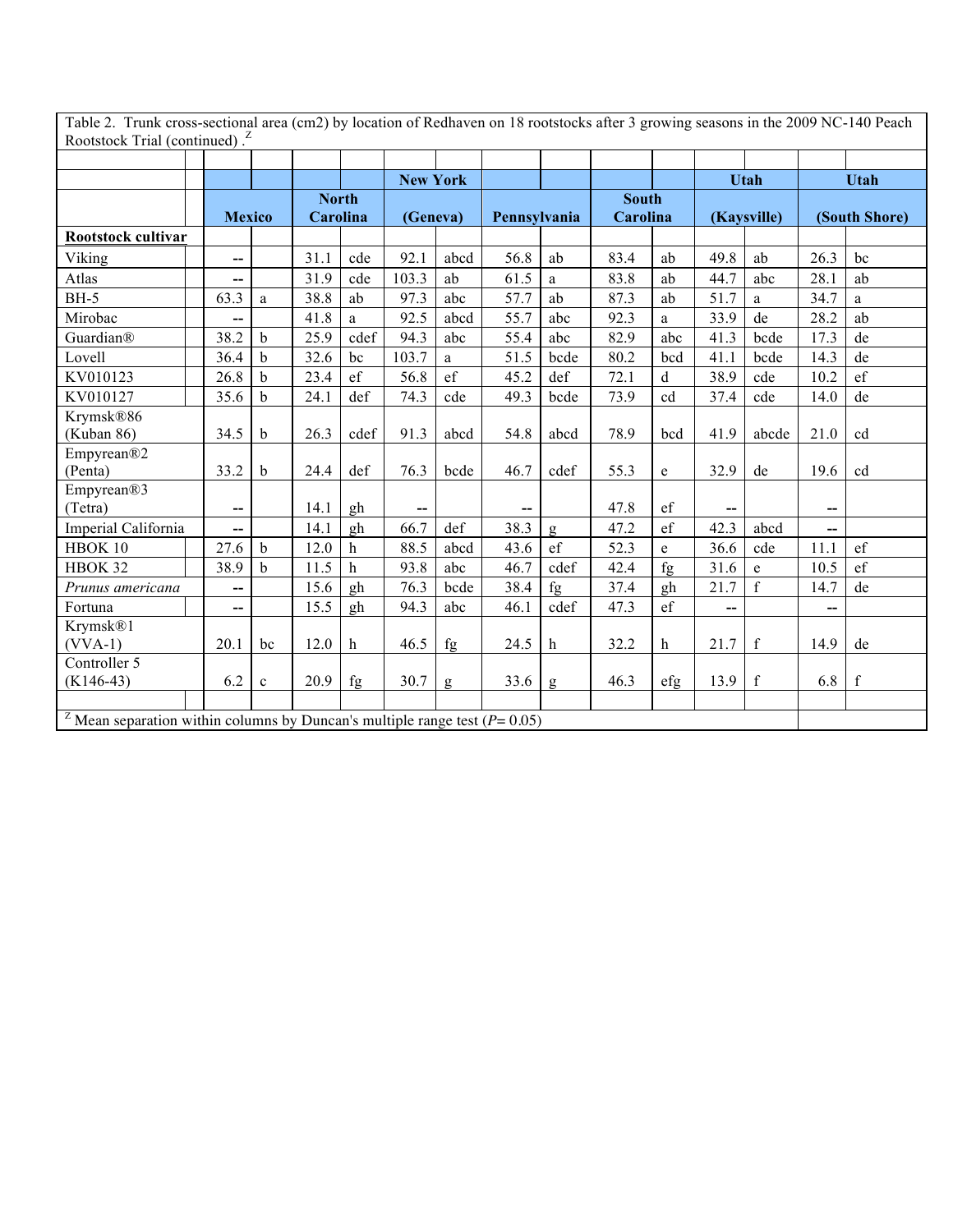Table 2. Trunk cross-sectional area (cm2) by location of Redhaven on 18 rootstocks after 3 growing seasons in the 2009 NC-140 Peach<br>Rootstock Trial (continued).<sup>2</sup>

|                                                                                            |                                       |             |              |              | <b>New York</b>          |               |              |               |              |                                        |                          | <b>Utah</b> |                          | <b>Utah</b>   |
|--------------------------------------------------------------------------------------------|---------------------------------------|-------------|--------------|--------------|--------------------------|---------------|--------------|---------------|--------------|----------------------------------------|--------------------------|-------------|--------------------------|---------------|
|                                                                                            |                                       |             | <b>North</b> |              |                          |               |              |               | <b>South</b> |                                        |                          |             |                          |               |
|                                                                                            | <b>Mexico</b>                         |             | Carolina     |              | (Geneva)                 |               | Pennsylvania |               | Carolina     |                                        |                          | (Kaysville) |                          | (South Shore) |
| Rootstock cultivar                                                                         |                                       |             |              |              |                          |               |              |               |              |                                        |                          |             |                          |               |
| Viking                                                                                     | --                                    |             | 31.1         | cde          | 92.1                     | abcd          | 56.8         | ab            | 83.4         | ab                                     | 49.8                     | ab          | 26.3                     | bc            |
| Atlas                                                                                      | --                                    |             | 31.9         | cde          | 103.3                    | ab            | 61.5         | a             | 83.8         | ab                                     | 44.7                     | abc         | 28.1                     | ab            |
| <b>BH-5</b>                                                                                | 63.3                                  | a           | 38.8         | ab           | 97.3                     | abc           | 57.7         | ab            | 87.3         | ab                                     | 51.7                     | a           | 34.7                     | a             |
| Mirobac                                                                                    | --                                    |             | 41.8         | a            | 92.5                     | abcd          | 55.7         | abc           | 92.3         | a                                      | 33.9                     | de          | 28.2                     | ab            |
| Guardian®                                                                                  | 38.2                                  | $\mathbf b$ | 25.9         | cdef         | 94.3                     | abc           | 55.4         | abc           | 82.9         | abc                                    | 41.3                     | bcde        | 17.3                     | de            |
| Lovell                                                                                     | 36.4                                  | b           | 32.6         | bc           | 103.7                    | a             | 51.5         | bcde          | 80.2         | bcd                                    | 41.1                     | bcde        | 14.3                     | de            |
| KV010123                                                                                   | 26.8                                  | $\mathbf b$ | 23.4         | ef           | 56.8                     | $\mathrm{ef}$ | 45.2         | def           | 72.1         | d                                      | 38.9                     | cde         | 10.2                     | $\mathrm{ef}$ |
| KV010127                                                                                   | 35.6                                  | $\mathbf b$ | 24.1         | def          | 74.3                     | cde           | 49.3         | bcde          | 73.9         | cd                                     | 37.4                     | cde         | 14.0                     | de            |
| Krymsk®86                                                                                  |                                       |             |              |              |                          |               |              |               |              |                                        |                          |             |                          |               |
| (Kuban 86)                                                                                 | 34.5                                  | $\mathbf b$ | 26.3         | cdef         | 91.3                     | abcd          | 54.8         | abcd          | 78.9         | bcd                                    | 41.9                     | abcde       | 21.0                     | cd            |
| Empyrean®2                                                                                 |                                       |             |              |              |                          |               |              |               |              |                                        |                          |             |                          |               |
| (Penta)                                                                                    | 33.2                                  | $\mathbf b$ | 24.4         | def          | 76.3                     | bcde          | 46.7         | cdef          | 55.3         | e                                      | 32.9                     | de          | 19.6                     | cd            |
| Empyrean®3                                                                                 |                                       |             |              |              |                          |               |              |               |              |                                        |                          |             |                          |               |
| (Tetra)                                                                                    | $\hspace{0.05cm}$ – $\hspace{0.05cm}$ |             | 14.1         | gh           | $\overline{\phantom{a}}$ |               | --           |               | 47.8         | ef                                     | $\overline{\phantom{a}}$ |             | $\overline{\phantom{a}}$ |               |
| Imperial California                                                                        | $-$                                   |             | 14.1         | gh           | 66.7                     | def           | 38.3         | g             | 47.2         | ef                                     | 42.3                     | abcd        | $\overline{a}$           |               |
| HBOK 10                                                                                    | 27.6                                  | $\mathbf b$ | 12.0         | $\mathbf h$  | 88.5                     | abcd          | 43.6         | $\mathrm{ef}$ | 52.3         | e                                      | 36.6                     | cde         | 11.1                     | ef            |
| HBOK 32                                                                                    | 38.9                                  | $\mathbf b$ | 11.5         | $\mathbf h$  | 93.8                     | abc           | 46.7         | cdef          | 42.4         | fg                                     | 31.6                     | e           | 10.5                     | $\mathrm{ef}$ |
| Prunus americana                                                                           | --                                    |             | 15.6         | gh           | 76.3                     | bcde          | 38.4         | fg            | 37.4         | gh                                     | 21.7                     | f           | 14.7                     | de            |
| Fortuna                                                                                    | --                                    |             | 15.5         | gh           | 94.3                     | abc           | 46.1         | cdef          | 47.3         | $\mathrm{ef}$                          | --                       |             | --                       |               |
| Krymsk®1                                                                                   |                                       |             |              |              |                          |               |              |               |              |                                        |                          |             |                          |               |
| $(VVA-1)$                                                                                  | 20.1                                  | bc          | 12.0         | $\mathbf{h}$ | 46.5                     | fg            | 24.5         | h             | 32.2         | $\mathbf h$                            | 21.7                     | $\mathbf f$ | 14.9                     | de            |
| Controller 5                                                                               |                                       |             |              |              |                          |               |              |               |              |                                        |                          |             |                          |               |
| $(K146-43)$                                                                                | 6.2                                   | $\mathbf c$ | 20.9         | fg           | 30.7                     | g             | 33.6         | $\mathsf g$   | 46.3         | $\left\langle \text{eff}\right\rangle$ | 13.9                     | $\mathbf f$ | 6.8                      | $\mathbf f$   |
|                                                                                            |                                       |             |              |              |                          |               |              |               |              |                                        |                          |             |                          |               |
| <sup>Z</sup> Mean separation within columns by Duncan's multiple range test ( $P = 0.05$ ) |                                       |             |              |              |                          |               |              |               |              |                                        |                          |             |                          |               |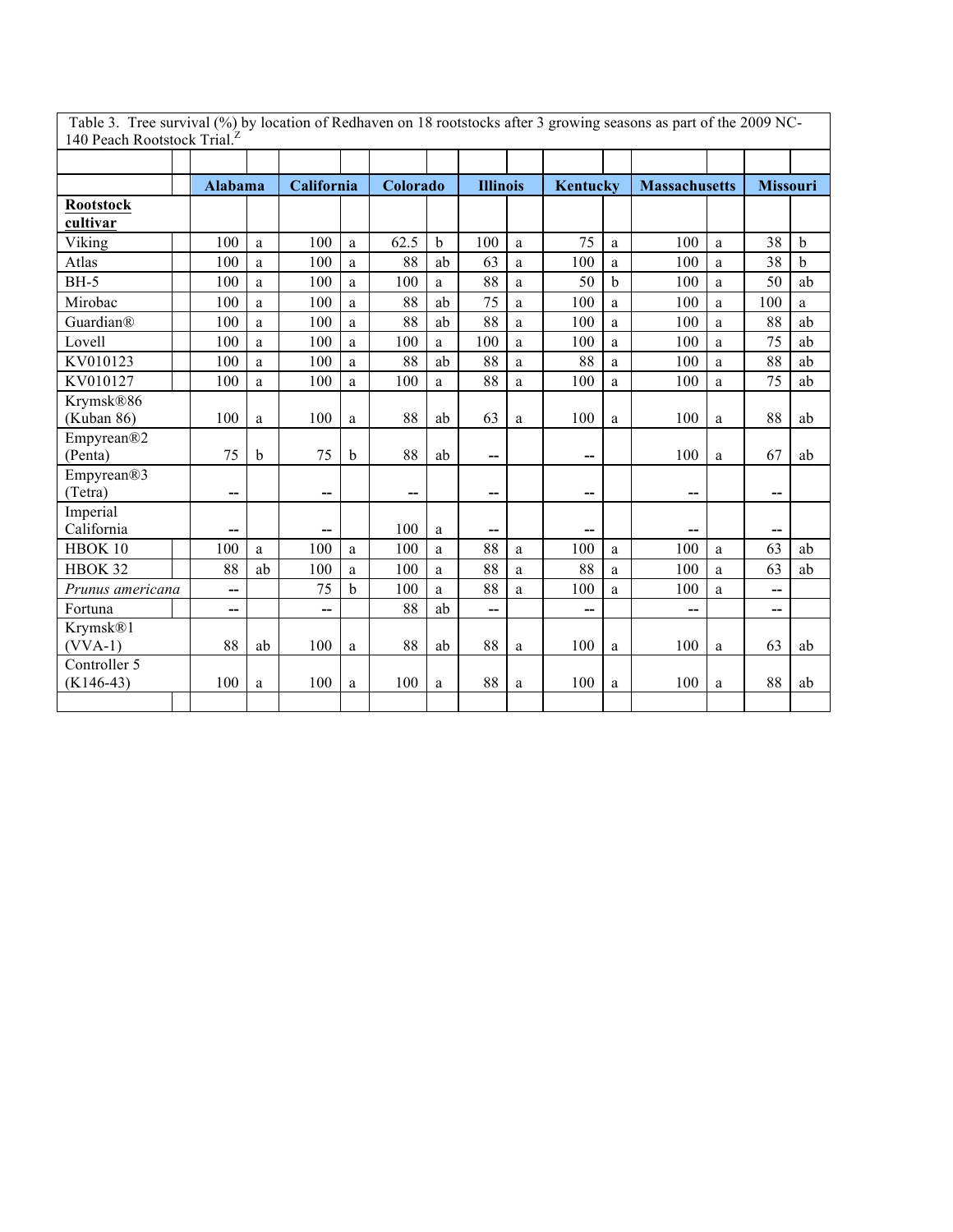| 140 Peach Rootstock Trial. <sup>1</sup> |                |    |                |   |          |             |                 |   |                 |             |                          |              |                          |             |
|-----------------------------------------|----------------|----|----------------|---|----------|-------------|-----------------|---|-----------------|-------------|--------------------------|--------------|--------------------------|-------------|
|                                         |                |    |                |   |          |             |                 |   |                 |             |                          |              |                          |             |
|                                         | <b>Alabama</b> |    | California     |   | Colorado |             | <b>Illinois</b> |   | <b>Kentucky</b> |             | <b>Massachusetts</b>     |              | <b>Missouri</b>          |             |
| <b>Rootstock</b>                        |                |    |                |   |          |             |                 |   |                 |             |                          |              |                          |             |
| cultivar                                |                |    |                |   |          |             |                 |   |                 |             |                          |              |                          |             |
| Viking                                  | 100            | a  | 100            | a | 62.5     | $\mathbf b$ | 100             | a | 75              | a           | 100                      | a            | 38                       | $\mathbf b$ |
| Atlas                                   | 100            | a  | 100            | a | 88       | ab          | 63              | a | 100             | a           | 100                      | $\mathbf{a}$ | 38                       | $\mathbf b$ |
| $BH-5$                                  | 100            | a  | 100            | a | 100      | a           | 88              | a | 50              | $\mathbf b$ | 100                      | a            | 50                       | ab          |
| Mirobac                                 | 100            | a  | 100            | a | 88       | ab          | 75              | a | 100             | a           | 100                      | a            | 100                      | a           |
| Guardian®                               | 100            | a  | 100            | a | 88       | ab          | 88              | a | 100             | a           | 100                      | a            | 88                       | ab          |
| Lovell                                  | 100            | a  | 100            | a | 100      | a           | 100             | a | 100             | a           | 100                      | a            | 75                       | ab          |
| KV010123                                | 100            | a  | 100            | a | 88       | ab          | 88              | a | 88              | a           | 100                      | $\mathbf{a}$ | 88                       | ab          |
| KV010127                                | 100            | a  | 100            | a | 100      | a           | 88              | a | 100             | a           | 100                      | $\mathbf{a}$ | 75                       | ab          |
| Krymsk®86                               |                |    |                |   |          |             |                 |   |                 |             |                          |              |                          |             |
| (Kuban 86)                              | 100            | a  | 100            | a | 88       | ab          | 63              | a | 100             | a           | 100                      | $\mathbf{a}$ | 88                       | ab          |
| Empyrean®2                              |                |    |                |   |          |             |                 |   |                 |             |                          |              |                          |             |
| (Penta)                                 | 75             | b  | 75             | b | 88       | ab          | --              |   | --              |             | 100                      | a            | 67                       | ab          |
| Empyrean®3                              |                |    |                |   |          |             |                 |   |                 |             |                          |              |                          |             |
| (Tetra)                                 | --             |    | $-$            |   | --       |             | --              |   | --              |             | $\overline{\phantom{a}}$ |              | --                       |             |
| Imperial                                |                |    |                |   |          |             |                 |   |                 |             |                          |              |                          |             |
| California                              | --             |    | --             |   | 100      | a           | --              |   | --              |             | --                       |              | --                       |             |
| HBOK 10                                 | 100            | a  | 100            | a | 100      | a           | 88              | a | 100             | a           | 100                      | a            | 63                       | ab          |
| HBOK 32                                 | 88             | ab | 100            | a | 100      | a           | 88              | a | 88              | a           | 100                      | a            | 63                       | ab          |
| Prunus americana                        | --             |    | 75             | h | 100      | a           | 88              | a | 100             | a           | 100                      | a            | --                       |             |
| Fortuna                                 | --             |    | $\overline{a}$ |   | 88       | ab          | $\overline{a}$  |   | $\overline{a}$  |             | --                       |              | $\overline{\phantom{a}}$ |             |
| Krymsk®1                                |                |    |                |   |          |             |                 |   |                 |             |                          |              |                          |             |
| $(VVA-1)$                               | 88             | ab | 100            | a | 88       | ab          | 88              | a | 100             | a           | 100                      | $\mathbf{a}$ | 63                       | ab          |
| Controller 5<br>$(K146-43)$             | 100            |    | 100            |   |          |             | 88              |   | 100             |             | 100                      |              | 88                       |             |
|                                         |                | a  |                | a | 100      | a           |                 | a |                 | a           |                          | a            |                          | ab          |
|                                         |                |    |                |   |          |             |                 |   |                 |             |                          |              |                          |             |

Table 3. Tree survival (%) by location of Redhaven on 18 rootstocks after 3 growing seasons as part of the 2009 NC-140 Peach Rootstock Trial.<sup>Z</sup>

 $\mathbf{I}$ 

 $\overline{\phantom{a}}$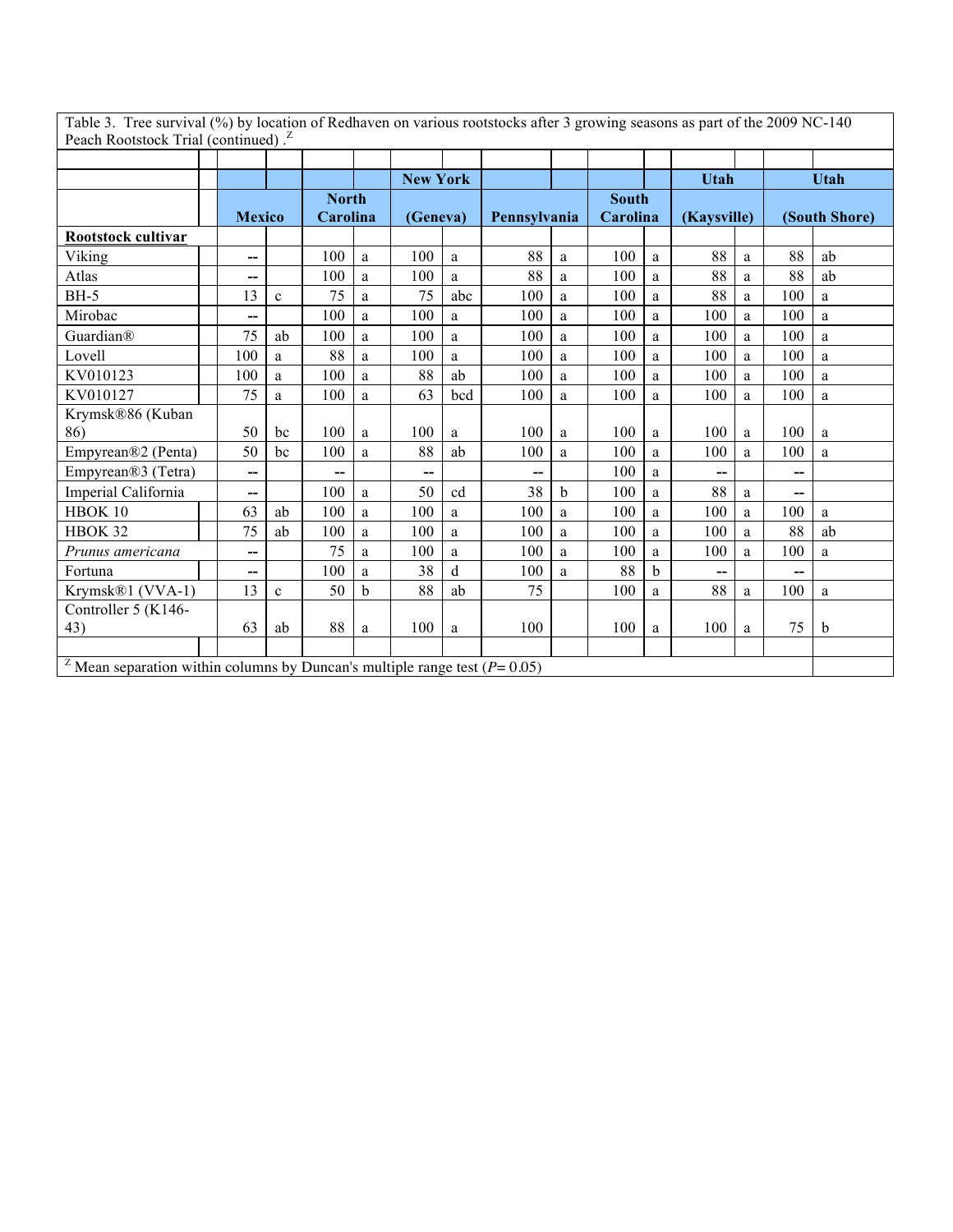Table 3. Tree survival (%) by location of Redhaven on various rootstocks after 3 growing seasons as part of the 2009 NC-140 Peach Rootstock Trial (continued).<sup>Z</sup>

|                                                                                            |               |              |              |   | <b>New York</b> |             |              |             |              |             | Utah        |   |                          | <b>Utah</b>   |
|--------------------------------------------------------------------------------------------|---------------|--------------|--------------|---|-----------------|-------------|--------------|-------------|--------------|-------------|-------------|---|--------------------------|---------------|
|                                                                                            |               |              | <b>North</b> |   |                 |             |              |             | <b>South</b> |             |             |   |                          |               |
|                                                                                            | <b>Mexico</b> |              | Carolina     |   | (Geneva)        |             | Pennsylvania |             | Carolina     |             | (Kaysville) |   |                          | (South Shore) |
| Rootstock cultivar                                                                         |               |              |              |   |                 |             |              |             |              |             |             |   |                          |               |
| Viking                                                                                     | $-$           |              | 100          | a | 100             | a           | 88           | a           | 100          | a           | 88          | a | 88                       | ab            |
| Atlas                                                                                      | --            |              | 100          | a | 100             | a           | 88           | a           | 100          | a           | 88          | a | 88                       | ab            |
| <b>BH-5</b>                                                                                | 13            | $\mathbf{c}$ | 75           | a | 75              | abc         | 100          | a           | 100          | a           | 88          | a | 100                      | a             |
| Mirobac                                                                                    | --            |              | 100          | a | 100             | a           | 100          | a           | 100          | a           | 100         | a | 100                      | a             |
| Guardian®                                                                                  | 75            | ab           | 100          | a | 100             | a           | 100          | a           | 100          | a           | 100         | a | 100                      | a             |
| Lovell                                                                                     | 100           | a            | 88           | a | 100             | a           | 100          | a           | 100          | a           | 100         | a | 100                      | a             |
| KV010123                                                                                   | 100           | a            | 100          | a | 88              | ab          | 100          | a           | 100          | a           | 100         | a | 100                      | a             |
| KV010127                                                                                   | 75            | a            | 100          | a | 63              | bcd         | 100          | a           | 100          | a           | 100         | a | 100                      | a             |
| Krymsk®86 (Kuban                                                                           |               |              |              |   |                 |             |              |             |              |             |             |   |                          |               |
| 86)                                                                                        | 50            | bc           | 100          | a | 100             | a           | 100          | a           | 100          | a           | 100         | a | 100                      | a             |
| Empyrean®2 (Penta)                                                                         | 50            | bc           | 100          | a | 88              | ab          | 100          | a           | 100          | a           | 100         | a | 100                      | a             |
| Empyrean®3 (Tetra)                                                                         | --            |              | --           |   | --              |             | --           |             | 100          | a           | --          |   | $\overline{\phantom{a}}$ |               |
| Imperial California                                                                        | $-$           |              | 100          | a | 50              | cd          | 38           | $\mathbf b$ | 100          | a           | 88          | a | $\overline{\phantom{a}}$ |               |
| HBOK 10                                                                                    | 63            | ab           | 100          | a | 100             | a           | 100          | a           | 100          | a           | 100         | a | 100                      | a             |
| HBOK 32                                                                                    | 75            | ab           | 100          | a | 100             | a           | 100          | a           | 100          | a           | 100         | a | 88                       | ab            |
| Prunus americana                                                                           | $-$           |              | 75           | a | 100             | a           | 100          | a           | 100          | a           | 100         | a | 100                      | a             |
| Fortuna                                                                                    | --            |              | 100          | a | 38              | $\mathbf d$ | 100          | a           | 88           | $\mathbf b$ | --          |   | --                       |               |
| Krymsk®1 (VVA-1)                                                                           | 13            | $\mathbf c$  | 50           | b | 88              | ab          | 75           |             | 100          | a           | 88          | a | 100                      | a             |
| Controller 5 (K146-                                                                        |               |              |              |   |                 |             |              |             |              |             |             |   |                          |               |
| 43)                                                                                        | 63            | ab           | 88           | a | 100             | a           | 100          |             | 100          | a           | 100         | a | 75                       | b             |
|                                                                                            |               |              |              |   |                 |             |              |             |              |             |             |   |                          |               |
| <sup>2</sup> Mean separation within columns by Duncan's multiple range test ( $P = 0.05$ ) |               |              |              |   |                 |             |              |             |              |             |             |   |                          |               |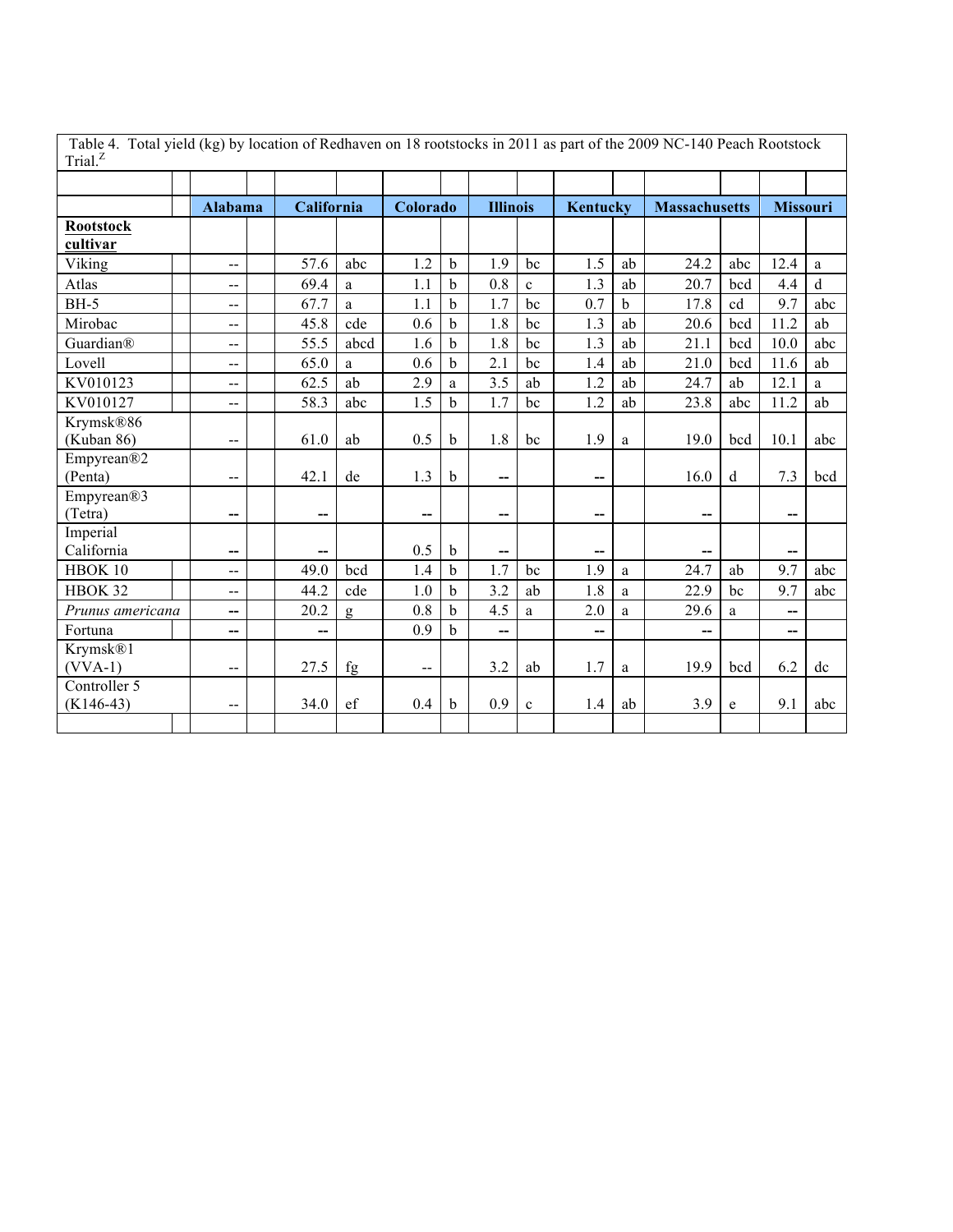| Table 4. Total yield (kg) by location of Redhaven on 18 rootstocks in 2011 as part of the 2009 NC-140 Peach Rootstock<br>Trial. $^Z$ |                          |            |      |                          |             |                 |             |          |             |                      |             |                 |             |
|--------------------------------------------------------------------------------------------------------------------------------------|--------------------------|------------|------|--------------------------|-------------|-----------------|-------------|----------|-------------|----------------------|-------------|-----------------|-------------|
|                                                                                                                                      |                          |            |      |                          |             |                 |             |          |             |                      |             |                 |             |
|                                                                                                                                      | Alabama                  | California |      | Colorado                 |             | <b>Illinois</b> |             | Kentucky |             | <b>Massachusetts</b> |             | <b>Missouri</b> |             |
| <b>Rootstock</b><br>cultivar                                                                                                         |                          |            |      |                          |             |                 |             |          |             |                      |             |                 |             |
| Viking                                                                                                                               | $-$                      | 57.6       | abc  | 1.2                      | $\mathbf b$ | 1.9             | bc          | 1.5      | ab          | 24.2                 | abc         | 12.4            | a           |
| Atlas                                                                                                                                | --                       | 69.4       | a    | 1.1                      | b           | 0.8             | $\mathbf c$ | 1.3      | ab          | 20.7                 | bcd         | 4.4             | $\mathbf d$ |
| $BH-5$                                                                                                                               | $-$                      | 67.7       | a    | 1.1                      | $\mathbf b$ | 1.7             | bc          | 0.7      | $\mathbf b$ | 17.8                 | cd          | 9.7             | abc         |
| Mirobac                                                                                                                              | --                       | 45.8       | cde  | 0.6                      | $\mathbf b$ | 1.8             | bc          | 1.3      | ab          | 20.6                 | bcd         | 11.2            | ab          |
| Guardian®                                                                                                                            | --                       | 55.5       | abcd | 1.6                      | $\mathbf b$ | 1.8             | bc          | 1.3      | ab          | 21.1                 | bcd         | 10.0            | abc         |
| Lovell                                                                                                                               | $-$                      | 65.0       | a    | 0.6                      | $\mathbf b$ | 2.1             | bc          | 1.4      | ab          | 21.0                 | bcd         | 11.6            | ab          |
| KV010123                                                                                                                             | --                       | 62.5       | ab   | 2.9                      | a           | 3.5             | ab          | 1.2      | ab          | 24.7                 | ab          | 12.1            | a           |
| KV010127                                                                                                                             | $-$                      | 58.3       | abc  | 1.5                      | $\mathbf b$ | 1.7             | bc          | 1.2      | ab          | 23.8                 | abc         | 11.2            | ab          |
| Krymsk®86                                                                                                                            |                          |            |      |                          |             |                 |             |          |             |                      |             |                 |             |
| (Kuban 86)                                                                                                                           | --                       | 61.0       | ab   | 0.5                      | b           | 1.8             | bc          | 1.9      | a           | 19.0                 | bcd         | 10.1            | abc         |
| Empyrean®2                                                                                                                           |                          |            |      |                          |             |                 |             |          |             |                      |             |                 |             |
| (Penta)                                                                                                                              | $-$                      | 42.1       | de   | 1.3                      | $\mathbf b$ | --              |             | --       |             | 16.0                 | $\mathbf d$ | 7.3             | bcd         |
| Empyrean®3                                                                                                                           |                          |            |      |                          |             |                 |             |          |             |                      |             |                 |             |
| (Tetra)                                                                                                                              | --                       | --         |      | --                       |             | --              |             | --       |             | --                   |             | --              |             |
| Imperial                                                                                                                             |                          |            |      |                          |             |                 |             |          |             |                      |             |                 |             |
| California                                                                                                                           | --                       | --         |      | 0.5                      | $\mathbf b$ | --              |             | --       |             | --                   |             | --              |             |
| HBOK 10                                                                                                                              | --                       | 49.0       | bcd  | 1.4                      | $\mathbf b$ | 1.7<br>3.2      | bc          | 1.9      | a           | 24.7                 | ab          | 9.7             | abc         |
| HBOK 32                                                                                                                              | $\overline{a}$           | 44.2       | cde  | 1.0                      | b           |                 | ab          | 1.8      | a           | 22.9                 | bc          | 9.7             | abc         |
| Prunus americana                                                                                                                     | --                       | 20.2       | g    | 0.8                      | $\mathbf b$ | 4.5             | a           | 2.0      | a           | 29.6                 | a           | $-$             |             |
| Fortuna                                                                                                                              | --                       | --         |      | 0.9                      | $\mathbf b$ | --              |             | --       |             | --                   |             | --              |             |
| Krymsk®1<br>$(VVA-1)$                                                                                                                | --                       | 27.5       | fg   | $\overline{\phantom{m}}$ |             | 3.2             | ab          | 1.7      | a           | 19.9                 | bcd         | 6.2             | dc          |
| Controller 5                                                                                                                         |                          |            |      |                          |             |                 |             |          |             |                      |             |                 |             |
| $(K146-43)$                                                                                                                          | $\overline{\phantom{a}}$ | 34.0       | ef   | 0.4                      | b           | 0.9             | $\mathbf c$ | 1.4      | ab          | 3.9                  | e           | 9.1             | abc         |
|                                                                                                                                      |                          |            |      |                          |             |                 |             |          |             |                      |             |                 |             |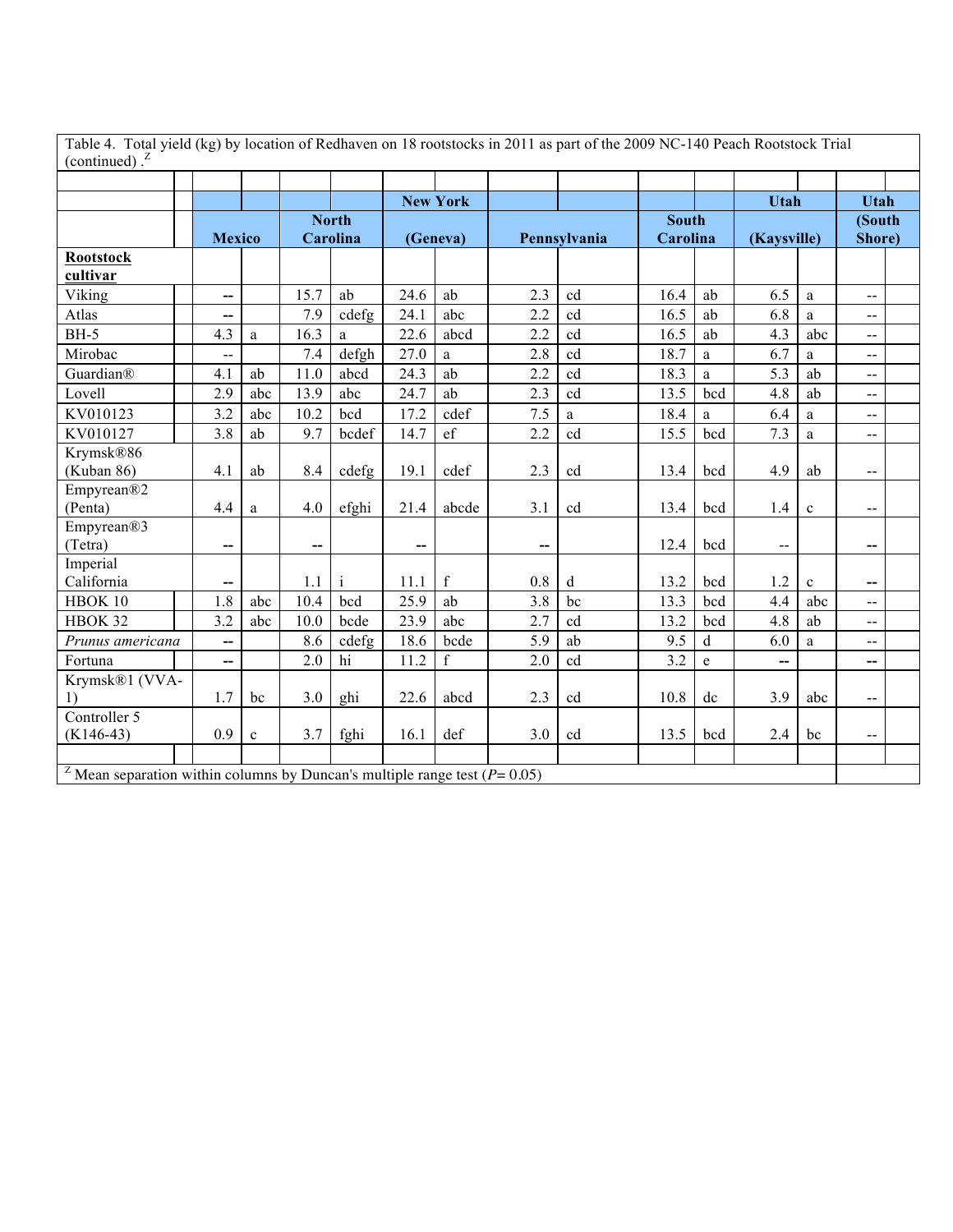| Table 4. Total yield (kg) by location of Redhaven on 18 rootstocks in 2011 as part of the 2009 NC-140 Peach Rootstock Trial |  |
|-----------------------------------------------------------------------------------------------------------------------------|--|
| (continued).                                                                                                                |  |

| (continued).                                                                               |                          |              |      |              |      |                 |     |              |              |             |                          |              |                              |  |
|--------------------------------------------------------------------------------------------|--------------------------|--------------|------|--------------|------|-----------------|-----|--------------|--------------|-------------|--------------------------|--------------|------------------------------|--|
|                                                                                            |                          |              |      |              |      |                 |     |              |              |             |                          |              |                              |  |
|                                                                                            |                          |              |      |              |      | <b>New York</b> |     |              |              |             | <b>Utah</b>              |              | <b>Utah</b>                  |  |
|                                                                                            |                          |              |      | <b>North</b> |      |                 |     |              | <b>South</b> |             |                          |              | (South                       |  |
|                                                                                            | <b>Mexico</b>            |              |      | Carolina     |      | (Geneva)        |     | Pennsylvania | Carolina     |             | (Kaysville)              |              | Shore)                       |  |
| <b>Rootstock</b>                                                                           |                          |              |      |              |      |                 |     |              |              |             |                          |              |                              |  |
| cultivar                                                                                   |                          |              |      |              |      |                 |     |              |              |             |                          |              |                              |  |
| Viking                                                                                     | --                       |              | 15.7 | ab           | 24.6 | ab              | 2.3 | cd           | 16.4         | ab          | 6.5                      | $\mathbf{a}$ | $\overline{\phantom{a}}$     |  |
| Atlas                                                                                      | --                       |              | 7.9  | cdefg        | 24.1 | abc             | 2.2 | cd           | 16.5         | ab          | 6.8                      | a            | $\overline{\phantom{a}}$     |  |
| $BH-5$                                                                                     | 4.3                      | a            | 16.3 | a            | 22.6 | abcd            | 2.2 | cd           | 16.5         | ab          | 4.3                      | abc          | $\overline{a}$               |  |
| Mirobac                                                                                    | $-$                      |              | 7.4  | defgh        | 27.0 | a               | 2.8 | cd           | 18.7         | a           | 6.7                      | a            | $\qquad \qquad \blacksquare$ |  |
| Guardian®                                                                                  | 4.1                      | ab           | 11.0 | abcd         | 24.3 | ab              | 2.2 | cd           | 18.3         | a           | 5.3                      | ab           | $\overline{a}$               |  |
| Lovell                                                                                     | 2.9                      | abc          | 13.9 | abc          | 24.7 | ab              | 2.3 | cd           | 13.5         | bcd         | 4.8                      | ab           | $\overline{\phantom{a}}$     |  |
| KV010123                                                                                   | 3.2                      | abc          | 10.2 | bcd          | 17.2 | cdef            | 7.5 | a            | 18.4         | a           | 6.4                      | a            | $-$                          |  |
| KV010127                                                                                   | 3.8                      | ab           | 9.7  | bcdef        | 14.7 | $\mathrm{ef}$   | 2.2 | cd           | 15.5         | bcd         | 7.3                      | a            | $-$                          |  |
| Krymsk®86                                                                                  |                          |              |      |              |      |                 |     |              |              |             |                          |              |                              |  |
| (Kuban 86)                                                                                 | 4.1                      | ab           | 8.4  | cdefg        | 19.1 | cdef            | 2.3 | cd           | 13.4         | bcd         | 4.9                      | ab           | $\overline{\phantom{a}}$     |  |
| Empyrean®2                                                                                 |                          |              |      |              |      |                 |     |              |              |             |                          |              |                              |  |
| (Penta)                                                                                    | 4.4                      | a            | 4.0  | efghi        | 21.4 | abcde           | 3.1 | cd           | 13.4         | bcd         | 1.4                      | $\mathbf c$  | $\overline{a}$               |  |
| Empyrean®3                                                                                 |                          |              |      |              |      |                 |     |              |              |             |                          |              |                              |  |
| (Tetra)                                                                                    | --                       |              | −−   |              | --   |                 | --  |              | 12.4         | bcd         | $\overline{\phantom{a}}$ |              | --                           |  |
| Imperial                                                                                   |                          |              |      |              |      |                 |     |              |              |             |                          |              |                              |  |
| California                                                                                 |                          |              | 1.1  | $\mathbf{i}$ | 11.1 | $\mathbf f$     | 0.8 | d            | 13.2         | bcd         | 1.2                      | $\mathbf{c}$ | --                           |  |
| HBOK 10                                                                                    | 1.8                      | abc          | 10.4 | bcd          | 25.9 | ab              | 3.8 | bc           | 13.3         | bcd         | 4.4                      | abc          | $\overline{\phantom{a}}$     |  |
| HBOK 32                                                                                    | 3.2                      | abc          | 10.0 | bcde         | 23.9 | abc             | 2.7 | cd           | 13.2         | bcd         | 4.8                      | ab           | $\overline{a}$               |  |
| Prunus americana                                                                           | $\overline{\phantom{a}}$ |              | 8.6  | cdefg        | 18.6 | bcde            | 5.9 | ab           | 9.5          | $\mathbf d$ | 6.0                      | a            | $-$                          |  |
| Fortuna                                                                                    | $\overline{\phantom{a}}$ |              | 2.0  | hi           | 11.2 | $\mathbf f$     | 2.0 | cd           | 3.2          | e           | --                       |              | --                           |  |
| Krymsk®1 (VVA-                                                                             |                          |              |      |              |      |                 |     |              |              |             |                          |              |                              |  |
| $\left( \right)$                                                                           | 1.7                      | bc           | 3.0  | ghi          | 22.6 | abcd            | 2.3 | cd           | 10.8         | dc          | 3.9                      | abc          | $-$                          |  |
| Controller 5                                                                               |                          |              |      |              |      |                 |     |              |              |             |                          |              |                              |  |
| $(K146-43)$                                                                                | 0.9                      | $\mathbf{c}$ | 3.7  | fghi         | 16.1 | def             | 3.0 | cd           | 13.5         | bcd         | 2.4                      | bc           | $-$                          |  |
|                                                                                            |                          |              |      |              |      |                 |     |              |              |             |                          |              |                              |  |
| <sup>2</sup> Mean separation within columns by Duncan's multiple range test ( $P = 0.05$ ) |                          |              |      |              |      |                 |     |              |              |             |                          |              |                              |  |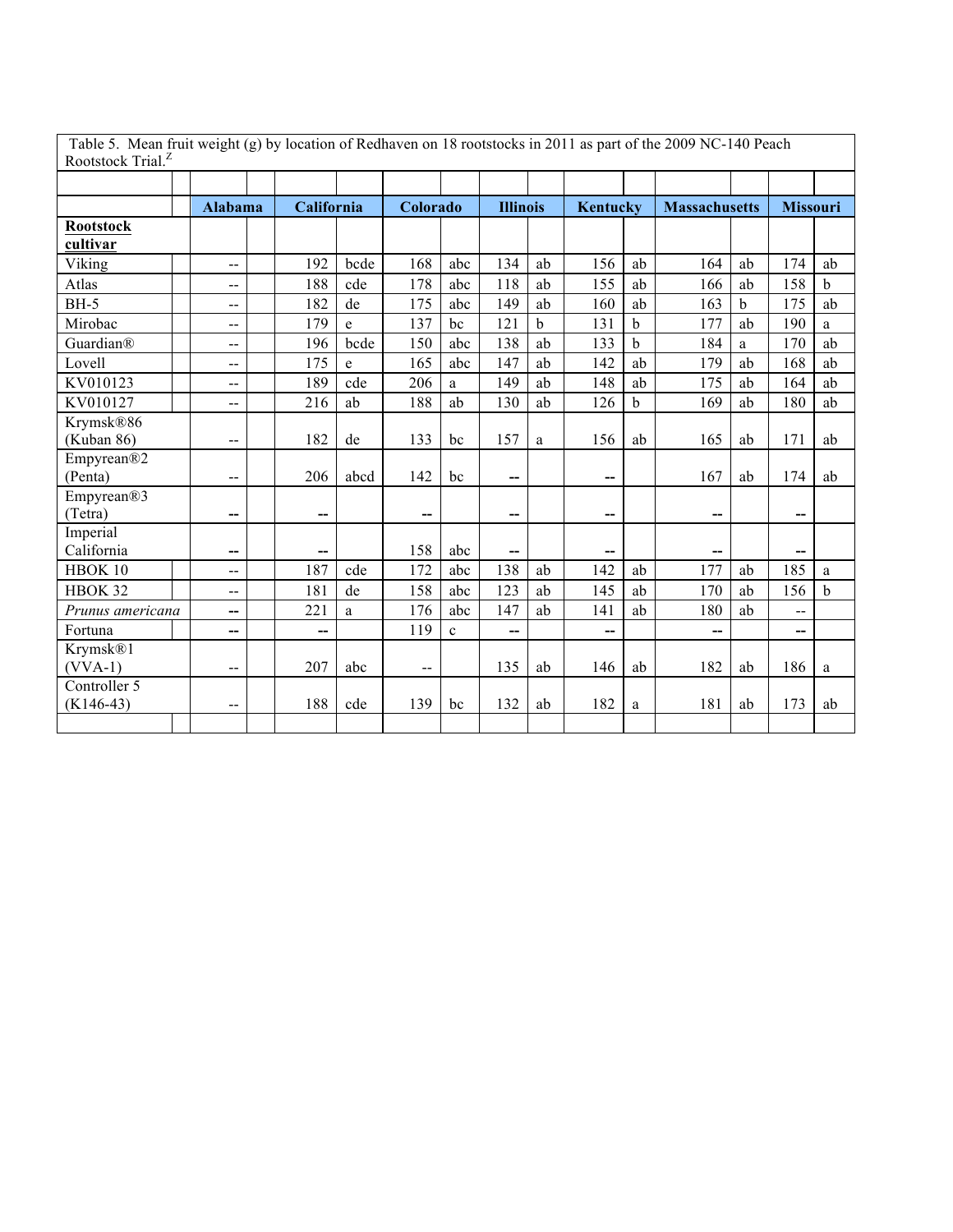| Table 5. Mean fruit weight (g) by location of Redhaven on 18 rootstocks in 2011 as part of the 2009 NC-140 Peach<br>Rootstock Trial. <sup>Z</sup> |                          |            |      |                          |              |                          |             |          |             |                      |    |                          |             |
|---------------------------------------------------------------------------------------------------------------------------------------------------|--------------------------|------------|------|--------------------------|--------------|--------------------------|-------------|----------|-------------|----------------------|----|--------------------------|-------------|
|                                                                                                                                                   |                          |            |      |                          |              |                          |             |          |             |                      |    |                          |             |
|                                                                                                                                                   | <b>Alabama</b>           | California |      | Colorado                 |              | <b>Illinois</b>          |             | Kentucky |             | <b>Massachusetts</b> |    | <b>Missouri</b>          |             |
| <b>Rootstock</b><br>cultivar                                                                                                                      |                          |            |      |                          |              |                          |             |          |             |                      |    |                          |             |
| Viking                                                                                                                                            | $\overline{\phantom{a}}$ | 192        | bcde | 168                      | abc          | 134                      | ab          | 156      | ab          | 164                  | ab | 174                      | ab          |
| Atlas                                                                                                                                             | $-$                      | 188        | cde  | 178                      | abc          | 118                      | ab          | 155      | ab          | 166                  | ab | 158                      | b           |
| <b>BH-5</b>                                                                                                                                       | $-$                      | 182        | de   | 175                      | abc          | 149                      | ab          | 160      | ab          | 163                  | b  | 175                      | ab          |
| Mirobac                                                                                                                                           | $-$                      | 179        | e    | 137                      | bc           | 121                      | $\mathbf b$ | 131      | $\mathbf b$ | 177                  | ab | 190                      | a           |
| Guardian®                                                                                                                                         | $-$                      | 196        | bcde | 150                      | abc          | 138                      | ab          | 133      | b           | 184                  | a  | 170                      | ab          |
| Lovell                                                                                                                                            | $-$                      | 175        | e    | 165                      | abc          | 147                      | ab          | 142      | ab          | 179                  | ab | 168                      | ab          |
| KV010123                                                                                                                                          | $-$                      | 189        | cde  | 206                      | a            | 149                      | ab          | 148      | ab          | 175                  | ab | 164                      | ab          |
| KV010127                                                                                                                                          | $\overline{\phantom{a}}$ | 216        | ab   | 188                      | ab           | 130                      | ab          | 126      | $\mathbf b$ | 169                  | ab | 180                      | ab          |
| Krymsk®86<br>(Kuban 86)                                                                                                                           | $-$                      | 182        | de   | 133                      | bc           | 157                      | a           | 156      | ab          | 165                  | ab | 171                      | ab          |
| Empyrean®2<br>(Penta)                                                                                                                             | --                       | 206        | abcd | 142                      | bc           | $\overline{\phantom{a}}$ |             | --       |             | 167                  | ab | 174                      | ab          |
| Empyrean®3<br>(Tetra)                                                                                                                             | --                       | --         |      | --                       |              | $\overline{\phantom{a}}$ |             | --       |             | $-$                  |    | --                       |             |
| Imperial<br>California                                                                                                                            | --                       | --         |      | 158                      | abc          | $\overline{\phantom{a}}$ |             |          |             |                      |    |                          |             |
| HBOK 10                                                                                                                                           | $\overline{a}$           | 187        | cde  | 172                      | abc          | 138                      | ab          | 142      | ab          | 177                  | ab | 185                      | a           |
| HBOK 32                                                                                                                                           | $\overline{a}$           | 181        | de   | 158                      | abc          | 123                      | ab          | 145      | ab          | 170                  | ab | 156                      | $\mathbf b$ |
| Prunus americana                                                                                                                                  | --                       | 221        | a    | 176                      | abc          | 147                      | ab          | 141      | ab          | 180                  | ab | $\overline{\phantom{a}}$ |             |
| Fortuna                                                                                                                                           | --                       | --         |      | 119                      | $\mathbf{c}$ | $-$                      |             |          |             |                      |    | --                       |             |
| Krymsk <sup>®1</sup><br>$(VVA-1)$                                                                                                                 | $-$                      | 207        | abc  | $\overline{\phantom{a}}$ |              | 135                      | ab          | 146      | ab          | 182                  | ab | 186                      | a           |
| Controller 5<br>$(K146-43)$                                                                                                                       | $\overline{\phantom{a}}$ | 188        | cde  | 139                      | bc           | 132                      | ab          | 182      | a           | 181                  | ab | 173                      | ab          |
|                                                                                                                                                   |                          |            |      |                          |              |                          |             |          |             |                      |    |                          |             |

Table 5. Mean fruit weight (g) by location of Redhaven on 18 rootstocks in 2011 as part of the 2009 NC-140 Peach